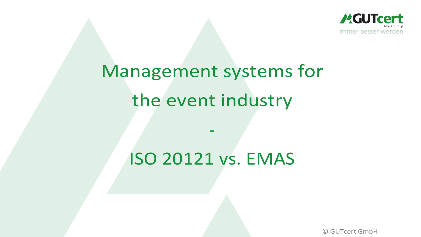

# Management systems for the event industry

# ISO 20121 vs. EMAS

-

© GUTcert GmbH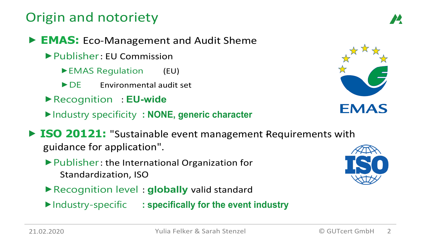### Origin and notoriety

- ⯈ **EMAS:** Eco-Management and Audit Sheme
	- ▶ Publisher: EU Commission
		- ▶ EMAS Regulation (EU)
		- ▶ DE Environmental audit set
	- ⯈Recognition : **EU-wide**
	- ⯈Industry specificity **: NONE, generic character**
- ▶ **ISO 20121:** "Sustainable event management Requirements with guidance for application".
	- ▶ Publisher : the International Organization for Standardization, ISO
	- ⯈Recognition level : **globally** valid standard
	- ⯈Industry-specific **: specifically for the event industry**



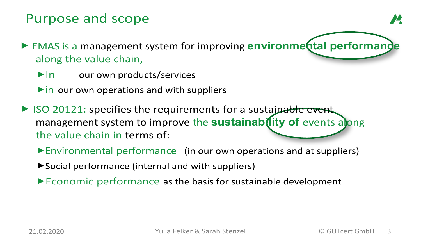### Purpose and scope

- ▶ EMAS is a management system for improving **environmental performance** along the value chain,
	- $\blacktriangleright$  In our own products/services
	- $\triangleright$  in our own operations and with suppliers
- ▶ ISO 20121: specifies the requirements for a sustainable event management system to improve the **sustainab(lity of** events along the value chain in terms of:
	- ⯈Environmental performance (in our own operations and at suppliers)
	- ▶Social performance (internal and with suppliers)
	- ⯈Economic performance as the basis for sustainable development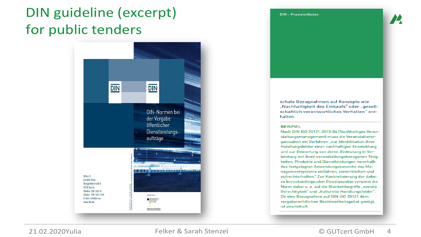## DIN guideline (excerpt) for public tenders



DIN-Praxisleitfaden

schale Bezugnahmen auf Konzepte wie "Nachhaltigkeit des Einkaufs" oder "gesellschaftlich verantwortliches Verhalten" enthalten.

#### **BEISPIEL**

Nach DIN ISO 20121:2013-04 (Nachhaltiges Veranstaltungsmanagement) muss die Veranstalterorganisation ein Verfahren "zur Identifikation ihrer Handlungsfelder einer nachhaltigen Entwicklung und zur Bewertung von deren Bedeutung in Verbindung mit ihren veranstaltungsbezogenen Tätigkeiten, Produkte und Dienstleistungen innerhalb des festgelegten Anwendungsbereichs des Managementsystems einführen, verwirklichen und aufrechterhalten." Zur Konkretisierung der dabei zu berücksichtigenden Einzelaspekte verweist die Norm dabei u. a. auf die Blankettbegriffe "soziale Gerechtigkeit" und "kulturelle Handlungsfelder". Ob eine Bezugnahme auf DIN ISO 20121 dem vergaberechtlichen Bestimmtheitsgebot genügt, ist zweifelhaft.

21.02.2020Yulia Felker & Sarah Stenzel © GUTcert GmbH 4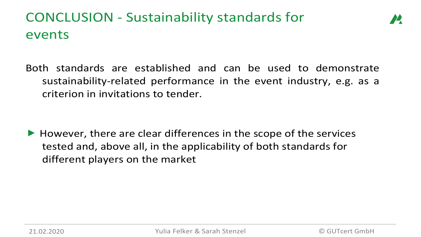# CONCLUSION - Sustainability standards for events

Both standards are established and can be used to demonstrate sustainability-related performance in the event industry, e.g. as a criterion in invitations to tender.

 $\blacktriangleright$  However, there are clear differences in the scope of the services tested and, above all, in the applicability of both standards for different players on the market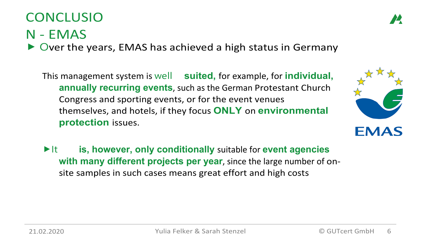### CONCLUSIO

### N - EMAS

Over the years, EMAS has achieved a high status in Germany

This management system is well **suited,** for example, for **individual, annually recurring events**, such as the German Protestant Church Congress and sporting events, or for the event venues themselves, and hotels, if they focus **ONLY** on **environmental protection** issues.